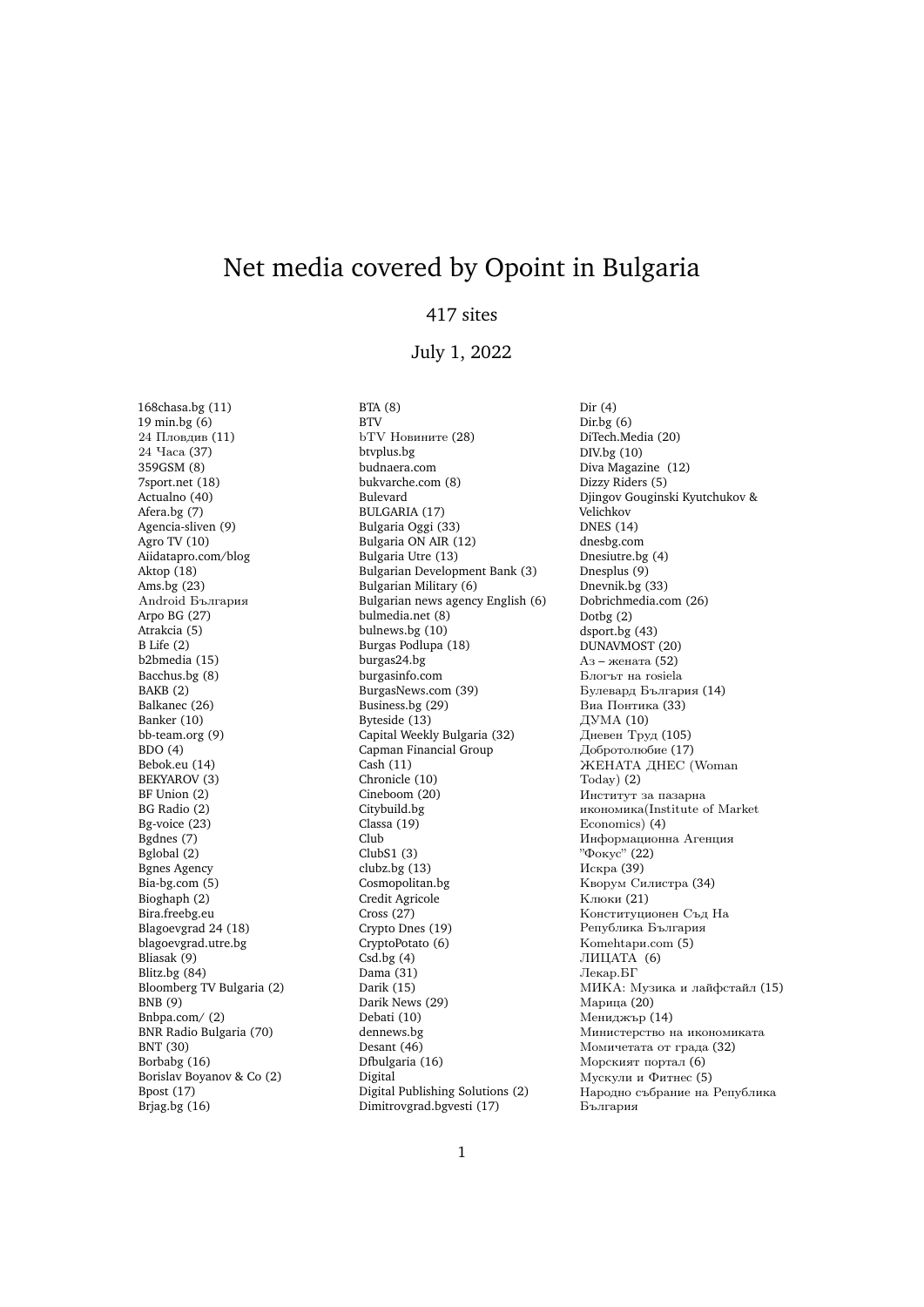## Net media covered by Opoint in Bulgaria

## 417 sites

## July 1, 2022

Dir (4)

168chasa.bg (11) 19 min.bg (6) 24 Пловдив (11) 24 Часа (37) 359GSM (8) 7sport.net (18) Actualno (40) Afera.bg (7) Agencia-sliven (9) Agro TV (10) Aiidatapro.com/blog Aktop (18) Ams.bg (23) Android България Arpo BG (27) Atrakcia (5) B Life (2) b2bmedia (15) Bacchus.bg (8) BAKB (2) Balkanec (26) Banker (10) bb-team.org (9) BDO (4) Bebok.eu (14) BEKYAROV (3) BF Union (2) BG Radio (2) Bg-voice (23) Bgdnes (7) Bglobal (2) Bgnes Agency Bia-bg.com (5) Bioghaph (2) Bira.freebg.eu Blagoevgrad 24 (18) blagoevgrad.utre.bg Bliasak (9) Blitz.bg (84) Bloomberg TV Bulgaria (2) BNB (9) Bnbpa.com/ (2) BNR Radio Bulgaria (70) BNT (30) Borbabg (16) Borislav Boyanov & Co (2) Bpost (17) Brjag.bg (16)

BTA (8) BTV bTV Новините (28) btvplus.bg budnaera.com bukvarche.com (8) Bulevard BULGARIA (17) Bulgaria Oggi (33) Bulgaria ON AIR (12) Bulgaria Utre (13) Bulgarian Development Bank (3) Bulgarian Military (6) Bulgarian news agency English (6) bulmedia.net (8) bulnews.bg (10) Burgas Podlupa (18) burgas24.bg burgasinfo.com BurgasNews.com (39) Business.bg (29) Byteside (13) Capital Weekly Bulgaria (32) Capman Financial Group Cash (11) Chronicle (10) Cineboom (20) Citybuild.bg Classa (19) Club ClubS1 (3) clubz.bg (13) Cosmopolitan.bg Credit Agricole Cross (27) Crypto Dnes (19) CryptoPotato (6)  $Csd.bg(4)$ Dama (31) Darik (15) Darik News (29) Debati (10) dennews.bg Desant (46) Dfbulgaria (16) Digital Digital Publishing Solutions (2) Dimitrovgrad.bgvesti (17)

Dir.bg (6) DiTech.Media (20) DIV.bg (10) Diva Magazine (12) Dizzy Riders (5) Djingov Gouginski Kyutchukov & Velichkov DNES (14) dnesbg.com Dnesiutre.bg (4) Dnesplus (9) Dnevnik.bg (33) Dobrichmedia.com (26) Dotbg (2) dsport.bg (43) DUNAVMOST (20) Аз – жената (52) Блогът на rosiela Булевард България (14) Виа Понтика (33) ДУМА (10) Дневен Труд (105) Добротолюбие (17) ЖЕНАТА ДНЕС (Woman Today) (2) Институт за пазарна икономика(Institute of Market Economics) (4) Информационна Агенция "Фокус" (22) Искра (39) Кворум Силистра (34) Клюки (21) Конституционен Съд На Република България Кomehtapи.com (5) ЛИЦАТА (6) Лекар.БГ МИКА: Музика и лайфстайл (15) Марица (20) Мениджър (14) Министерство на икономиката Момичетата от града (32) Морският портал (6) Мускули и Фитнес (5) Народно събрание на Република България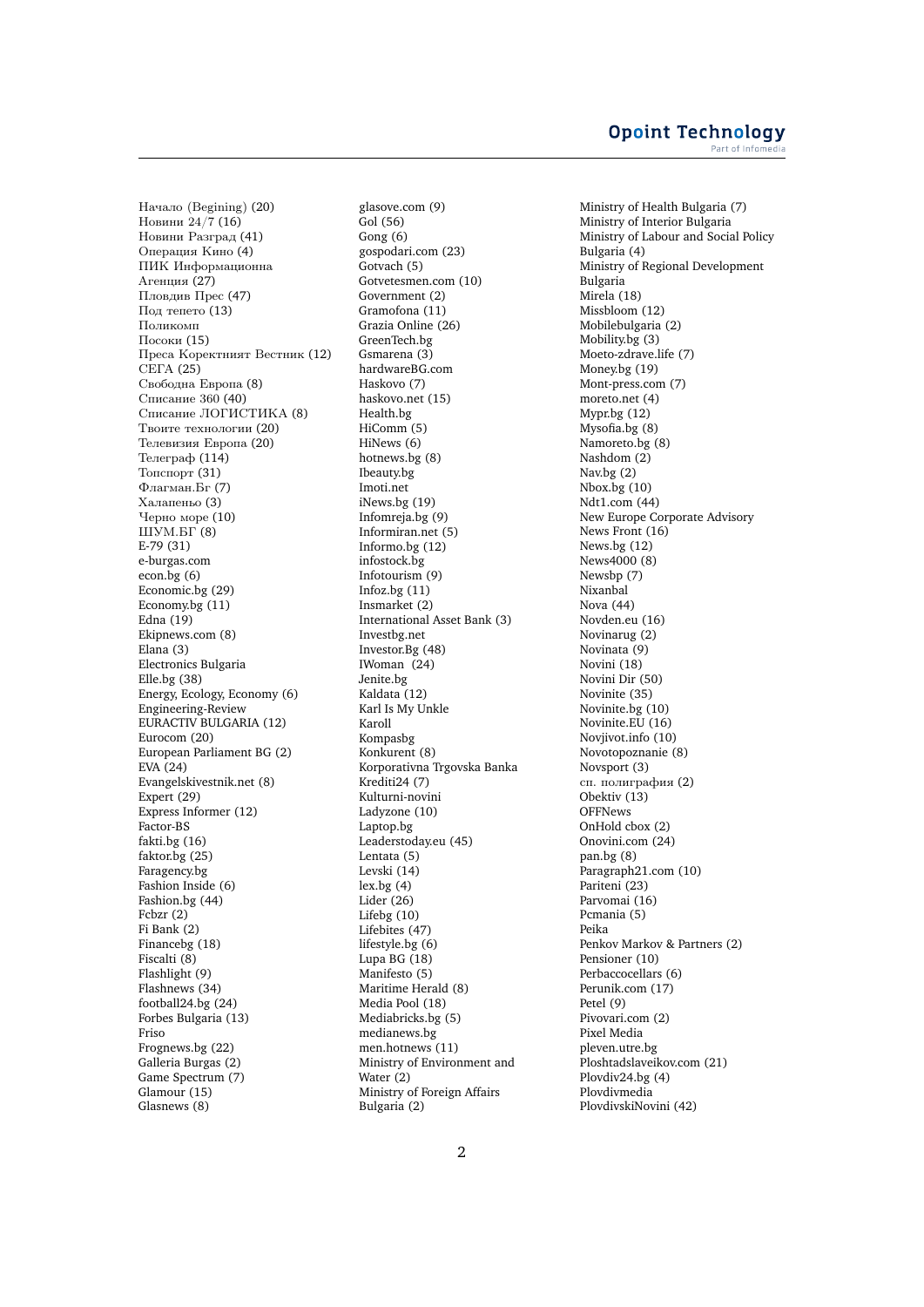Начало (Begining) (20) Новини 24/7 (16) Новини Разград (41) Операция Кино (4) ПИК Информационна Агенция (27) Пловдив Прес (47) Под тепето (13) Поликомп Посоки (15) Преса Коректният Вестник (12) СЕГА (25) Свободна Европа (8) Списание 360 (40) Списание ЛОГИСТИКА (8) Твоите технологии (20) Телевизия Европа (20) Телеграф (114) Топспорт (31) Флагман.Бг (7) Халапеньо (3) Черно море (10) ШУМ.БГ (8) E-79 (31) e-burgas.com econ.bg (6) Economic.bg (29) Economy.bg (11) Edna (19) Ekipnews.com (8) Elana (3) Electronics Bulgaria Elle.bg (38) Energy, Ecology, Economy (6) Engineering-Review EURACTIV BULGARIA (12) Eurocom (20) European Parliament BG (2) EVA (24) Evangelskivestnik.net (8) Expert (29) Express Informer (12) Factor-BS fakti.bg (16) faktor.bg (25) Faragency.bg Fashion Inside (6) Fashion.bg (44) Fcbzr (2) Fi Bank (2) Financebg (18) Fiscalti (8) Flashlight (9) Flashnews (34) football24.bg (24) Forbes Bulgaria (13) Friso Frognews.bg (22) Galleria Burgas (2) Game Spectrum (7) Glamour (15) Glasnews (8)

glasove.com (9) Gol (56) Gong (6) gospodari.com (23) Gotvach (5) Gotvetesmen.com (10) Government (2) Gramofona (11) Grazia Online (26) GreenTech.bg Gemarena (3) hardwareBG.com Haskovo (7) haskovo.net (15) Health.bg HiComm (5) HiNews (6) hotnews.bg (8) Ibeauty.bg Imoti.net iNews.bg (19) Infomreja.bg (9) Informiran.net (5) Informo.bg (12) infostock.bg Infotourism (9) Infoz.bg (11) Insmarket (2) International Asset Bank (3) Investbg.net Investor.Bg (48) IWoman (24) Jenite.bg Kaldata (12) Karl Is My Unkle Karoll Kompasbg Konkurent (8) Korporativna Trgovska Banka Krediti24 (7) Kulturni-novini Ladyzone (10) Laptop.bg Leaderstoday.eu (45) Lentata (5) Levski (14) lex.bg (4) Lider (26) Lifebg (10) Lifebites (47) lifestyle.bg (6) Lupa BG  $(18)$ Manifesto (5) Maritime Herald (8) Media Pool (18) Mediabricks.bg (5) medianews.bg men.hotnews (11) Ministry of Environment and Water (2) Ministry of Foreign Affairs Bulgaria (2)

Ministry of Health Bulgaria (7) Ministry of Interior Bulgaria Ministry of Labour and Social Policy Bulgaria (4) Ministry of Regional Development Bulgaria Mirela (18) Missbloom (12) Mobilebulgaria (2) Mobility.bg (3) Moeto-zdrave.life (7) Money.bg (19) Mont-press.com (7) moreto.net (4) Mypr.bg (12) Mysofia.bg (8) Namoreto.bg (8) Nashdom (2) Nav.bg (2) Nbox.bg (10) Ndt1.com (44) New Europe Corporate Advisory News Front (16) News.bg (12) News4000 (8) Newsbp (7) Nixanbal Nova (44) Novden.eu (16) Novinarug (2) Novinata (9) Novini (18) Novini Dir (50) Novinite (35) Novinite.bg (10) Novinite.EU (16) Novjivot.info (10) Novotopoznanie (8) Novsport (3) сп. полиграфия (2) Obektiv (13) **OFFNews** OnHold cbox (2) Onovini.com (24) pan.bg (8) Paragraph21.com (10) Pariteni<sup>(23)</sup> Parvomai (16) Pcmania (5) Peika Penkov Markov & Partners (2) Pensioner (10) Perbaccocellars (6) Perunik.com (17) Petel (9) Pivovari.com (2) Pixel Media pleven.utre.bg Ploshtadslaveikov.com (21) Plovdiv24.bg (4) Plovdivmedia PlovdivskiNovini (42)